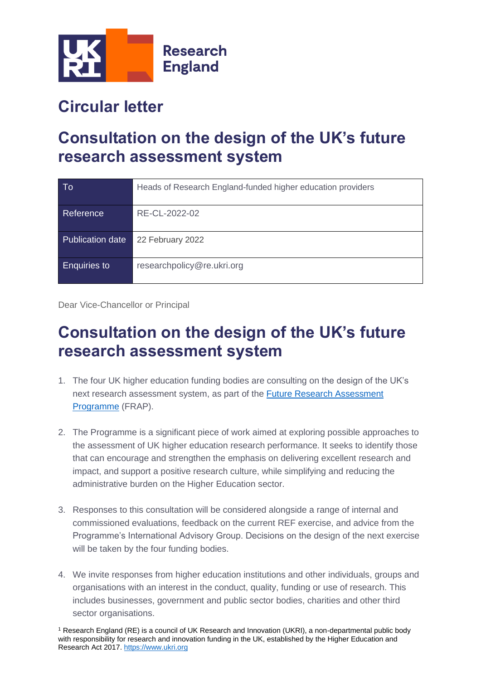

## **Circular letter**

## **Consultation on the design of the UK's future research assessment system**

| To                  | Heads of Research England-funded higher education providers |
|---------------------|-------------------------------------------------------------|
| Reference           | RE-CL-2022-02                                               |
| Publication date    | 22 February 2022                                            |
| <b>Enquiries to</b> | researchpolicy@re.ukri.org                                  |

Dear Vice-Chancellor or Principal

## **Consultation on the design of the UK's future research assessment system**

- 1. The four UK higher education funding bodies are consulting on the design of the UK's next research assessment system, as part of the [Future Research Assessment](https://www.jisc.ac.uk/future-research-assessment-programme)  [Programme](https://www.jisc.ac.uk/future-research-assessment-programme) (FRAP).
- 2. The Programme is a significant piece of work aimed at exploring possible approaches to the assessment of UK higher education research performance. It seeks to identify those that can encourage and strengthen the emphasis on delivering excellent research and impact, and support a positive research culture, while simplifying and reducing the administrative burden on the Higher Education sector.
- 3. Responses to this consultation will be considered alongside a range of internal and commissioned evaluations, feedback on the current REF exercise, and advice from the Programme's International Advisory Group. Decisions on the design of the next exercise will be taken by the four funding bodies.
- 4. We invite responses from higher education institutions and other individuals, groups and organisations with an interest in the conduct, quality, funding or use of research. This includes businesses, government and public sector bodies, charities and other third sector organisations.

<sup>1</sup> Research England (RE) is a council of UK Research and Innovation (UKRI), a non-departmental public body with responsibility for research and innovation funding in the UK, established by the Higher Education and Research Act 2017[. https://www.ukri.org](https://www.ukri.org/)